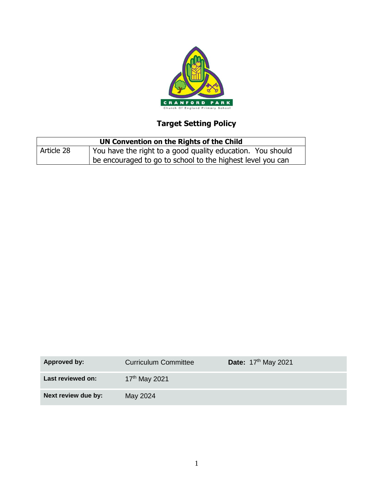

# **Target Setting Policy**

| UN Convention on the Rights of the Child |                                                            |  |
|------------------------------------------|------------------------------------------------------------|--|
| Article 28                               | You have the right to a good quality education. You should |  |
|                                          | be encouraged to go to school to the highest level you can |  |

| <b>Approved by:</b> | <b>Curriculum Committee</b> | <b>Date:</b> 17 <sup>th</sup> May 2021 |
|---------------------|-----------------------------|----------------------------------------|
| Last reviewed on:   | 17 <sup>th</sup> May 2021   |                                        |
| Next review due by: | May 2024                    |                                        |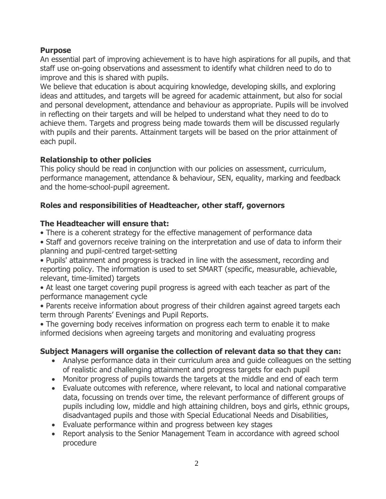#### **Purpose**

An essential part of improving achievement is to have high aspirations for all pupils, and that staff use on-going observations and assessment to identify what children need to do to improve and this is shared with pupils.

We believe that education is about acquiring knowledge, developing skills, and exploring ideas and attitudes, and targets will be agreed for academic attainment, but also for social and personal development, attendance and behaviour as appropriate. Pupils will be involved in reflecting on their targets and will be helped to understand what they need to do to achieve them. Targets and progress being made towards them will be discussed regularly with pupils and their parents. Attainment targets will be based on the prior attainment of each pupil.

### **Relationship to other policies**

This policy should be read in conjunction with our policies on assessment, curriculum, performance management, attendance & behaviour, SEN, equality, marking and feedback and the home-school-pupil agreement.

## **Roles and responsibilities of Headteacher, other staff, governors**

### **The Headteacher will ensure that:**

- There is a coherent strategy for the effective management of performance data
- Staff and governors receive training on the interpretation and use of data to inform their planning and pupil-centred target-setting

• Pupils' attainment and progress is tracked in line with the assessment, recording and reporting policy. The information is used to set SMART (specific, measurable, achievable, relevant, time-limited) targets

• At least one target covering pupil progress is agreed with each teacher as part of the performance management cycle

• Parents receive information about progress of their children against agreed targets each term through Parents' Evenings and Pupil Reports.

• The governing body receives information on progress each term to enable it to make informed decisions when agreeing targets and monitoring and evaluating progress

### **Subject Managers will organise the collection of relevant data so that they can:**

- Analyse performance data in their curriculum area and guide colleagues on the setting of realistic and challenging attainment and progress targets for each pupil
- Monitor progress of pupils towards the targets at the middle and end of each term
- Evaluate outcomes with reference, where relevant, to local and national comparative data, focussing on trends over time, the relevant performance of different groups of pupils including low, middle and high attaining children, boys and girls, ethnic groups, disadvantaged pupils and those with Special Educational Needs and Disabilities,
- Evaluate performance within and progress between key stages
- Report analysis to the Senior Management Team in accordance with agreed school procedure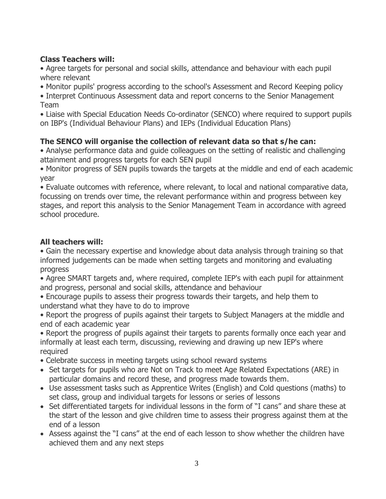## **Class Teachers will:**

• Agree targets for personal and social skills, attendance and behaviour with each pupil where relevant

• Monitor pupils' progress according to the school's Assessment and Record Keeping policy

• Interpret Continuous Assessment data and report concerns to the Senior Management Team

• Liaise with Special Education Needs Co-ordinator (SENCO) where required to support pupils on IBP's (Individual Behaviour Plans) and IEPs (Individual Education Plans)

# **The SENCO will organise the collection of relevant data so that s/he can:**

• Analyse performance data and guide colleagues on the setting of realistic and challenging attainment and progress targets for each SEN pupil

• Monitor progress of SEN pupils towards the targets at the middle and end of each academic year

• Evaluate outcomes with reference, where relevant, to local and national comparative data, focussing on trends over time, the relevant performance within and progress between key stages, and report this analysis to the Senior Management Team in accordance with agreed school procedure.

## **All teachers will:**

• Gain the necessary expertise and knowledge about data analysis through training so that informed judgements can be made when setting targets and monitoring and evaluating progress

- Agree SMART targets and, where required, complete IEP's with each pupil for attainment and progress, personal and social skills, attendance and behaviour
- Encourage pupils to assess their progress towards their targets, and help them to understand what they have to do to improve

• Report the progress of pupils against their targets to Subject Managers at the middle and end of each academic year

• Report the progress of pupils against their targets to parents formally once each year and informally at least each term, discussing, reviewing and drawing up new IEP's where required

- Celebrate success in meeting targets using school reward systems
- Set targets for pupils who are Not on Track to meet Age Related Expectations (ARE) in particular domains and record these, and progress made towards them.
- Use assessment tasks such as Apprentice Writes (English) and Cold questions (maths) to set class, group and individual targets for lessons or series of lessons
- Set differentiated targets for individual lessons in the form of "I cans" and share these at the start of the lesson and give children time to assess their progress against them at the end of a lesson
- Assess against the "I cans" at the end of each lesson to show whether the children have achieved them and any next steps